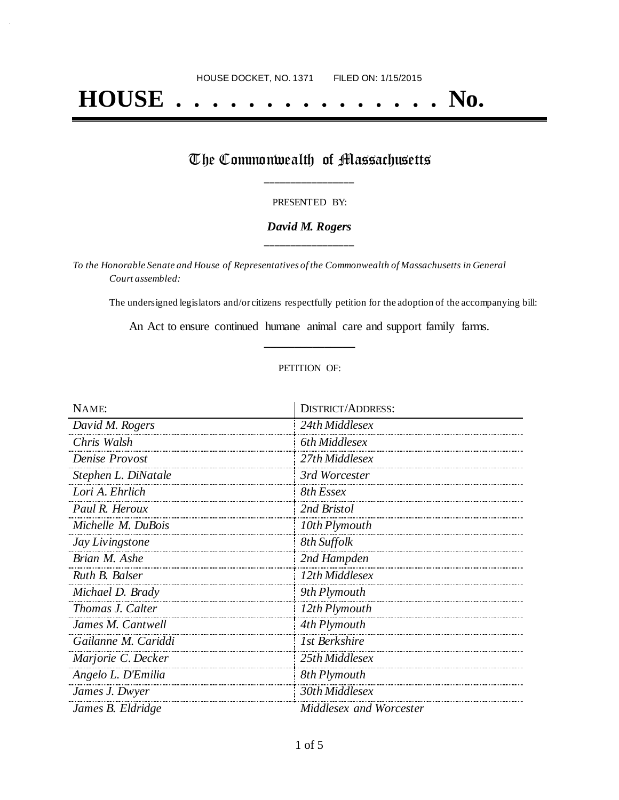# **HOUSE . . . . . . . . . . . . . . . No.**

## The Commonwealth of Massachusetts **\_\_\_\_\_\_\_\_\_\_\_\_\_\_\_\_\_**

#### PRESENTED BY:

#### *David M. Rogers* **\_\_\_\_\_\_\_\_\_\_\_\_\_\_\_\_\_**

*To the Honorable Senate and House of Representatives of the Commonwealth of Massachusetts in General Court assembled:*

The undersigned legislators and/or citizens respectfully petition for the adoption of the accompanying bill:

An Act to ensure continued humane animal care and support family farms. **\_\_\_\_\_\_\_\_\_\_\_\_\_\_\_**

#### PETITION OF:

| NAME:               | <b>DISTRICT/ADDRESS:</b> |
|---------------------|--------------------------|
| David M. Rogers     | 24th Middlesex           |
| Chris Walsh         | 6th Middlesex            |
| Denise Provost      | 27th Middlesex           |
| Stephen L. DiNatale | 3rd Worcester            |
| Lori A. Ehrlich     | 8th Essex                |
| Paul R. Heroux      | 2nd Bristol              |
| Michelle M. DuBois  | 10th Plymouth            |
| Jay Livingstone     | 8th Suffolk              |
| Brian M. Ashe       | 2nd Hampden              |
| Ruth B. Balser      | 12th Middlesex           |
| Michael D. Brady    | 9th Plymouth             |
| Thomas J. Calter    | 12th Plymouth            |
| James M. Cantwell   | 4th Plymouth             |
| Gailanne M. Cariddi | 1st Berkshire            |
| Marjorie C. Decker  | 25th Middlesex           |
| Angelo L. D'Emilia  | 8th Plymouth             |
| James J. Dwyer      | 30th Middlesex           |
| James B. Eldridge   | Middlesex and Worcester  |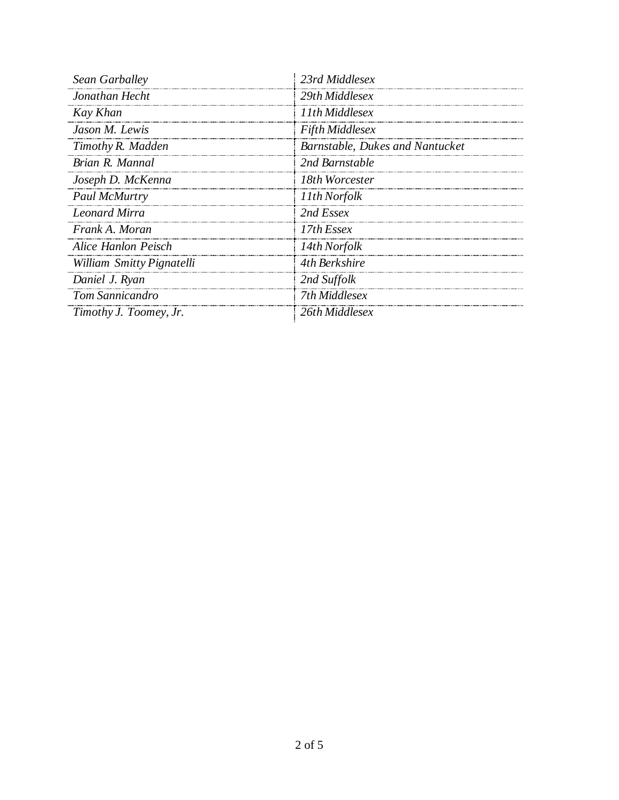| Sean Garballey            | 23rd Middlesex                         |  |
|---------------------------|----------------------------------------|--|
| Jonathan Hecht            | 29th Middlesex                         |  |
| Kay Khan                  | 11th Middlesex                         |  |
| Jason M. Lewis            | <b>Fifth Middlesex</b>                 |  |
| Timothy R. Madden         | <b>Barnstable, Dukes and Nantucket</b> |  |
| Brian R. Mannal           | 2nd Barnstable                         |  |
| Joseph D. McKenna         | 18th Worcester                         |  |
| <b>Paul McMurtry</b>      | 11th Norfolk                           |  |
| <b>Leonard Mirra</b>      | 2nd Essex                              |  |
| Frank A. Moran            | 17th Essex                             |  |
| Alice Hanlon Peisch       | 14th Norfolk                           |  |
| William Smitty Pignatelli | 4th Berkshire                          |  |
| Daniel J. Ryan            | 2nd Suffolk                            |  |
| <b>Tom Sannicandro</b>    | 7th Middlesex                          |  |
| Timothy J. Toomey, Jr.    | 26th Middlesex                         |  |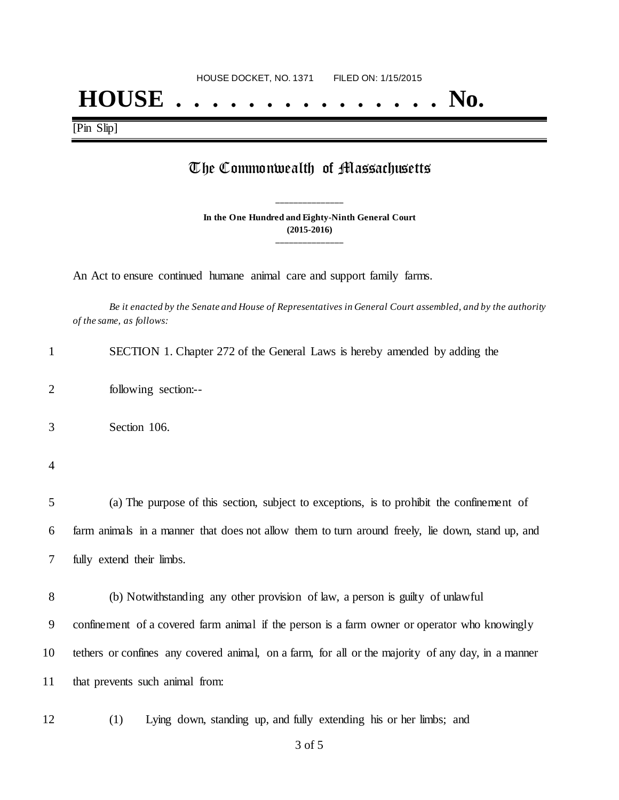## **HOUSE . . . . . . . . . . . . . . . No.**

[Pin Slip]

### The Commonwealth of Massachusetts

**In the One Hundred and Eighty-Ninth General Court (2015-2016) \_\_\_\_\_\_\_\_\_\_\_\_\_\_\_**

**\_\_\_\_\_\_\_\_\_\_\_\_\_\_\_**

An Act to ensure continued humane animal care and support family farms.

*Be it enacted by the Senate and House of Representatives in General Court assembled, and by the authority of the same, as follows:*

| SECTION 1. Chapter 272 of the General Laws is hereby amended by adding the |  |
|----------------------------------------------------------------------------|--|
|----------------------------------------------------------------------------|--|

2 following section:--

3 Section 106.

4

5 (a) The purpose of this section, subject to exceptions, is to prohibit the confinement of 6 farm animals in a manner that does not allow them to turn around freely, lie down, stand up, and 7 fully extend their limbs.

 (b) Notwithstanding any other provision of law, a person is guilty of unlawful confinement of a covered farm animal if the person is a farm owner or operator who knowingly tethers or confines any covered animal, on a farm, for all or the majority of any day, in a manner that prevents such animal from:

12 (1) Lying down, standing up, and fully extending his or her limbs; and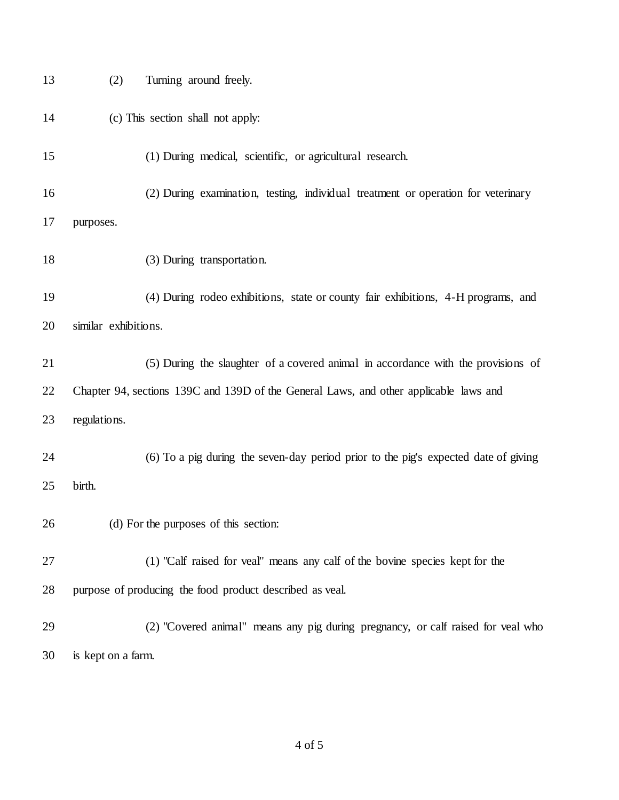| 13 | (2)                  | Turning around freely.                                                                |
|----|----------------------|---------------------------------------------------------------------------------------|
| 14 |                      | (c) This section shall not apply:                                                     |
| 15 |                      | (1) During medical, scientific, or agricultural research.                             |
| 16 |                      | (2) During examination, testing, individual treatment or operation for veterinary     |
| 17 | purposes.            |                                                                                       |
| 18 |                      | (3) During transportation.                                                            |
| 19 |                      | (4) During rodeo exhibitions, state or county fair exhibitions, 4-H programs, and     |
| 20 | similar exhibitions. |                                                                                       |
| 21 |                      | (5) During the slaughter of a covered animal in accordance with the provisions of     |
| 22 |                      | Chapter 94, sections 139C and 139D of the General Laws, and other applicable laws and |
| 23 | regulations.         |                                                                                       |
| 24 |                      | (6) To a pig during the seven-day period prior to the pig's expected date of giving   |
| 25 | birth.               |                                                                                       |
| 26 |                      | (d) For the purposes of this section:                                                 |
| 27 |                      | (1) "Calf raised for veal" means any calf of the bovine species kept for the          |
| 28 |                      | purpose of producing the food product described as veal.                              |
| 29 |                      | (2) "Covered animal" means any pig during pregnancy, or calf raised for veal who      |
| 30 | is kept on a farm.   |                                                                                       |